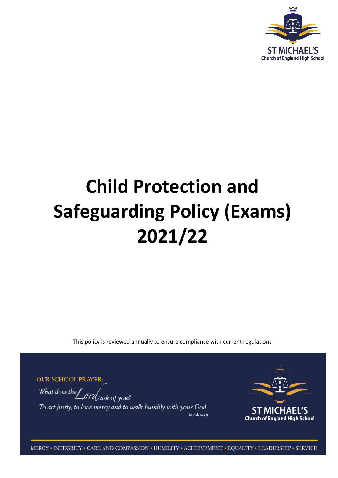

# **Child Protection and Safeguarding Policy (Exams) 2021/22**

This policy is reviewed annually to ensure compliance with current regulations

**OUR SCHOOL PRAYER:** 

What does the  $\int$  ord ask of you? To act justly, to love mercy and to walk humbly with your God. Micah 6ys.8



MERCY • INTEGRITY • CARE AND COMPASSION • HUMILITY • ACHIEVEMENT • EQUALITY • LEADERSHIP • SERVICE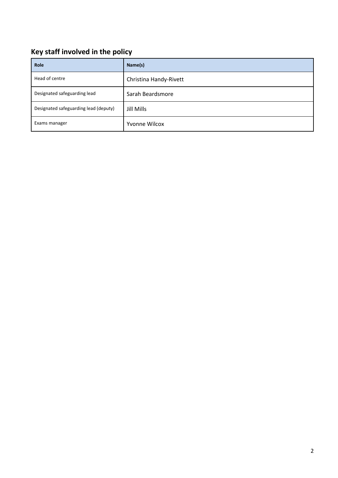## **Key staff involved in the policy**

| <b>Role</b>                           | Name(s)                |
|---------------------------------------|------------------------|
| Head of centre                        | Christina Handy-Rivett |
| Designated safeguarding lead          | Sarah Beardsmore       |
| Designated safeguarding lead (deputy) | Jill Mills             |
| Exams manager                         | <b>Yvonne Wilcox</b>   |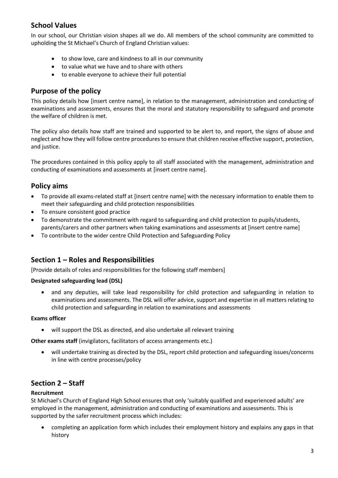## **School Values**

In our school, our Christian vision shapes all we do. All members of the school community are committed to upholding the St Michael's Church of England Christian values:

- to show love, care and kindness to all in our community
- to value what we have and to share with others
- to enable everyone to achieve their full potential

## **Purpose of the policy**

This policy details how [insert centre name], in relation to the management, administration and conducting of examinations and assessments, ensures that the moral and statutory responsibility to safeguard and promote the welfare of children is met.

The policy also details how staff are trained and supported to be alert to, and report, the signs of abuse and neglect and how they will follow centre procedures to ensure that children receive effective support, protection, and justice.

The procedures contained in this policy apply to all staff associated with the management, administration and conducting of examinations and assessments at [insert centre name].

## **Policy aims**

- To provide all exams-related staff at [insert centre name] with the necessary information to enable them to meet their safeguarding and child protection responsibilities
- To ensure consistent good practice
- To demonstrate the commitment with regard to safeguarding and child protection to pupils/students, parents/carers and other partners when taking examinations and assessments at [insert centre name]
- To contribute to the wider centre Child Protection and Safeguarding Policy

## **Section 1 – Roles and Responsibilities**

[Provide details of roles and responsibilities for the following staff members]

#### **Designated safeguarding lead (DSL)**

• and any deputies, will take lead responsibility for child protection and safeguarding in relation to examinations and assessments. The DSL will offer advice, support and expertise in all matters relating to child protection and safeguarding in relation to examinations and assessments

#### **Exams officer**

will support the DSL as directed, and also undertake all relevant training

**Other exams staff** (invigilators, facilitators of access arrangements etc.)

 will undertake training as directed by the DSL, report child protection and safeguarding issues/concerns in line with centre processes/policy

## **Section 2 – Staff**

#### **Recruitment**

St Michael's Church of England High School ensures that only 'suitably qualified and experienced adults' are employed in the management, administration and conducting of examinations and assessments. This is supported by the safer recruitment process which includes:

 completing an application form which includes their employment history and explains any gaps in that history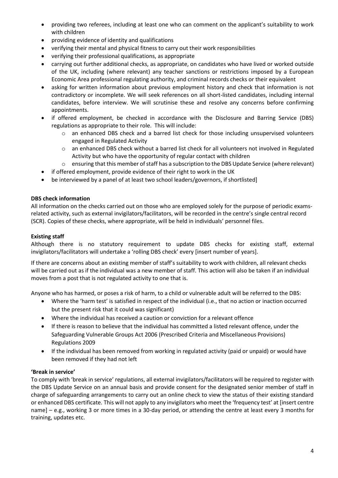- providing two referees, including at least one who can comment on the applicant's suitability to work with children
- providing evidence of identity and qualifications
- verifying their mental and physical fitness to carry out their work responsibilities
- verifying their professional qualifications, as appropriate
- carrying out further additional checks, as appropriate, on candidates who have lived or worked outside of the UK, including (where relevant) any teacher sanctions or restrictions imposed by a European Economic Area professional regulating authority, and criminal records checks or their equivalent
- asking for written information about previous employment history and check that information is not contradictory or incomplete. We will seek references on all short-listed candidates, including internal candidates, before interview. We will scrutinise these and resolve any concerns before confirming appointments.
- if offered employment, be checked in accordance with the Disclosure and Barring Service (DBS) regulations as appropriate to their role. This will include:
	- o an enhanced DBS check and a barred list check for those including unsupervised volunteers engaged in Regulated Activity
	- o an enhanced DBS check without a barred list check for all volunteers not involved in Regulated Activity but who have the opportunity of regular contact with children
	- o ensuring that this member of staff has a subscription to the DBS Update Service (where relevant)
- if offered employment, provide evidence of their right to work in the UK
- be interviewed by a panel of at least two school leaders/governors, if shortlisted]

#### **DBS check information**

All information on the checks carried out on those who are employed solely for the purpose of periodic examsrelated activity, such as external invigilators/facilitators, will be recorded in the centre's single central record (SCR). Copies of these checks, where appropriate, will be held in individuals' personnel files.

#### **Existing staff**

Although there is no statutory requirement to update DBS checks for existing staff, external invigilators/facilitators will undertake a 'rolling DBS check' every [insert number of years].

If there are concerns about an existing member of staff's suitability to work with children, all relevant checks will be carried out as if the individual was a new member of staff. This action will also be taken if an individual moves from a post that is not regulated activity to one that is.

Anyone who has harmed, or poses a risk of harm, to a child or vulnerable adult will be referred to the DBS:

- Where the 'harm test' is satisfied in respect of the individual (i.e., that no action or inaction occurred but the present risk that it could was significant)
- Where the individual has received a caution or conviction for a relevant offence
- If there is reason to believe that the individual has committed a listed relevant offence, under the Safeguarding Vulnerable Groups Act 2006 (Prescribed Criteria and Miscellaneous Provisions) Regulations 2009
- If the individual has been removed from working in regulated activity (paid or unpaid) or would have been removed if they had not left

#### **'Break in service'**

To comply with 'break in service' regulations, all external invigilators/facilitators will be required to register with the DBS Update Service on an annual basis and provide consent for the designated senior member of staff in charge of safeguarding arrangements to carry out an online check to view the status of their existing standard or enhanced DBS certificate. This will not apply to any invigilators who meet the 'frequency test' at [insert centre name] – e.g., working 3 or more times in a 30-day period, or attending the centre at least every 3 months for training, updates etc.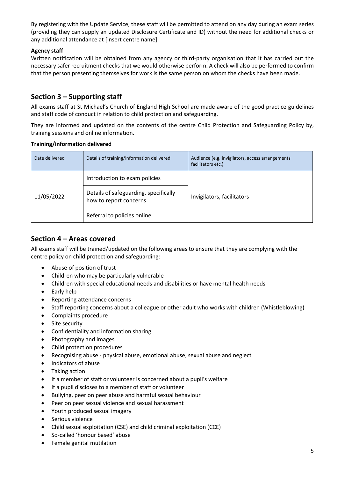By registering with the Update Service, these staff will be permitted to attend on any day during an exam series (providing they can supply an updated Disclosure Certificate and ID) without the need for additional checks or any additional attendance at [insert centre name].

#### **Agency staff**

Written notification will be obtained from any agency or third-party organisation that it has carried out the necessary safer recruitment checks that we would otherwise perform. A check will also be performed to confirm that the person presenting themselves for work is the same person on whom the checks have been made.

## **Section 3 – Supporting staff**

All exams staff at St Michael's Church of England High School are made aware of the good practice guidelines and staff code of conduct in relation to child protection and safeguarding.

They are informed and updated on the contents of the centre Child Protection and Safeguarding Policy by, training sessions and online information.

#### **Training/information delivered**

| Date delivered | Details of training/information delivered                       | Audience (e.g. invigilators, access arrangements<br>facilitators etc.) |
|----------------|-----------------------------------------------------------------|------------------------------------------------------------------------|
| 11/05/2022     | Introduction to exam policies                                   | Invigilators, facilitators                                             |
|                | Details of safeguarding, specifically<br>how to report concerns |                                                                        |
|                | Referral to policies online                                     |                                                                        |

## **Section 4 – Areas covered**

All exams staff will be trained/updated on the following areas to ensure that they are complying with the centre policy on child protection and safeguarding:

- Abuse of position of trust
- Children who may be particularly vulnerable
- Children with special educational needs and disabilities or have mental health needs
- Early help
- Reporting attendance concerns
- Staff reporting concerns about a colleague or other adult who works with children (Whistleblowing)
- Complaints procedure
- Site security
- Confidentiality and information sharing
- Photography and images
- Child protection procedures
- Recognising abuse physical abuse, emotional abuse, sexual abuse and neglect
- Indicators of abuse
- Taking action
- If a member of staff or volunteer is concerned about a pupil's welfare
- If a pupil discloses to a member of staff or volunteer
- Bullying, peer on peer abuse and harmful sexual behaviour
- Peer on peer sexual violence and sexual harassment
- Youth produced sexual imagery
- Serious violence
- Child sexual exploitation (CSE) and child criminal exploitation (CCE)
- So-called 'honour based' abuse
- Female genital mutilation